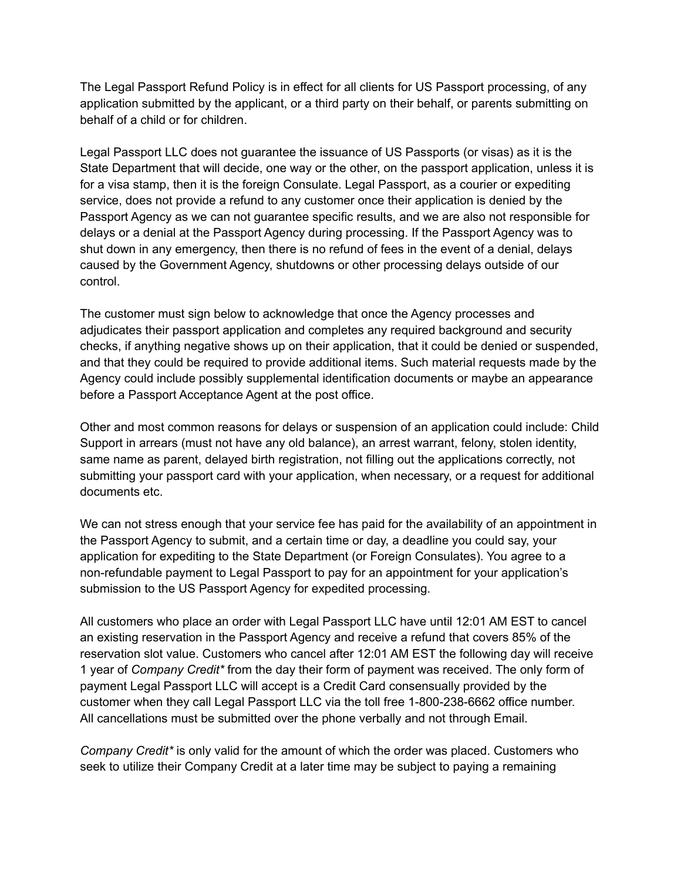The Legal Passport Refund Policy is in effect for all clients for US Passport processing, of any application submitted by the applicant, or a third party on their behalf, or parents submitting on behalf of a child or for children.

Legal Passport LLC does not guarantee the issuance of US Passports (or visas) as it is the State Department that will decide, one way or the other, on the passport application, unless it is for a visa stamp, then it is the foreign Consulate. Legal Passport, as a courier or expediting service, does not provide a refund to any customer once their application is denied by the Passport Agency as we can not guarantee specific results, and we are also not responsible for delays or a denial at the Passport Agency during processing. If the Passport Agency was to shut down in any emergency, then there is no refund of fees in the event of a denial, delays caused by the Government Agency, shutdowns or other processing delays outside of our control.

The customer must sign below to acknowledge that once the Agency processes and adjudicates their passport application and completes any required background and security checks, if anything negative shows up on their application, that it could be denied or suspended, and that they could be required to provide additional items. Such material requests made by the Agency could include possibly supplemental identification documents or maybe an appearance before a Passport Acceptance Agent at the post office.

Other and most common reasons for delays or suspension of an application could include: Child Support in arrears (must not have any old balance), an arrest warrant, felony, stolen identity, same name as parent, delayed birth registration, not filling out the applications correctly, not submitting your passport card with your application, when necessary, or a request for additional documents etc.

We can not stress enough that your service fee has paid for the availability of an appointment in the Passport Agency to submit, and a certain time or day, a deadline you could say, your application for expediting to the State Department (or Foreign Consulates). You agree to a non-refundable payment to Legal Passport to pay for an appointment for your application's submission to the US Passport Agency for expedited processing.

All customers who place an order with Legal Passport LLC have until 12:01 AM EST to cancel an existing reservation in the Passport Agency and receive a refund that covers 85% of the reservation slot value. Customers who cancel after 12:01 AM EST the following day will receive 1 year of *Company Credit\** from the day their form of payment was received. The only form of payment Legal Passport LLC will accept is a Credit Card consensually provided by the customer when they call Legal Passport LLC via the toll free 1-800-238-6662 office number. All cancellations must be submitted over the phone verbally and not through Email.

*Company Credit\** is only valid for the amount of which the order was placed. Customers who seek to utilize their Company Credit at a later time may be subject to paying a remaining